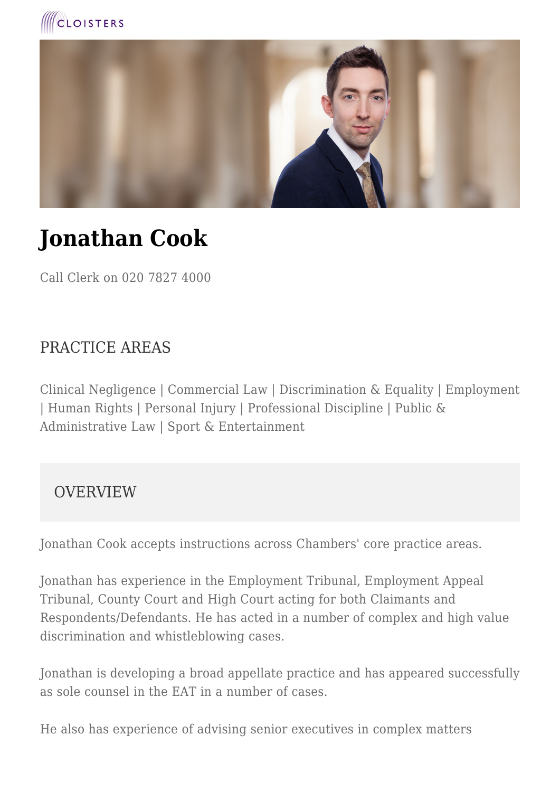



# **Jonathan Cook**

Call Clerk on 020 7827 4000

#### PRACTICE AREAS

Clinical Negligence | Commercial Law | Discrimination & Equality | Employment | Human Rights | Personal Injury | Professional Discipline | Public & Administrative Law | Sport & Entertainment

#### OVERVIEW

Jonathan Cook accepts instructions across Chambers' core practice areas.

Jonathan has experience in the Employment Tribunal, Employment Appeal Tribunal, County Court and High Court acting for both Claimants and Respondents/Defendants. He has acted in a number of complex and high value discrimination and whistleblowing cases.

Jonathan is developing a broad appellate practice and has appeared successfully as sole counsel in the EAT in a number of cases.

He also has experience of advising senior executives in complex matters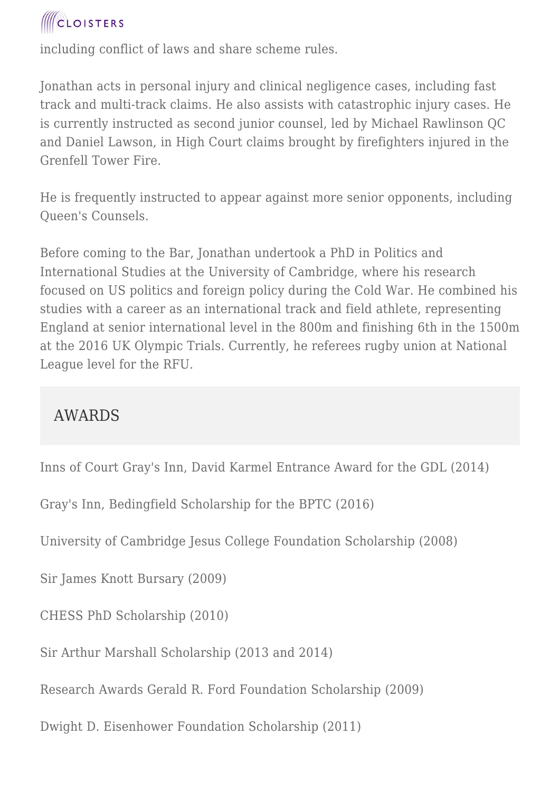# **ICLOISTERS**

including conflict of laws and share scheme rules.

Jonathan acts in personal injury and clinical negligence cases, including fast track and multi-track claims. He also assists with catastrophic injury cases. He is currently instructed as second junior counsel, led by Michael Rawlinson QC and Daniel Lawson, in High Court claims brought by firefighters injured in the Grenfell Tower Fire.

He is frequently instructed to appear against more senior opponents, including Queen's Counsels.

Before coming to the Bar, Jonathan undertook a PhD in Politics and International Studies at the University of Cambridge, where his research focused on US politics and foreign policy during the Cold War. He combined his studies with a career as an international track and field athlete, representing England at senior international level in the 800m and finishing 6th in the 1500m at the 2016 UK Olympic Trials. Currently, he referees rugby union at National League level for the RFU.

### AWARDS

Inns of Court Gray's Inn, David Karmel Entrance Award for the GDL (2014)

Gray's Inn, Bedingfield Scholarship for the BPTC (2016)

University of Cambridge Jesus College Foundation Scholarship (2008)

Sir James Knott Bursary (2009)

CHESS PhD Scholarship (2010)

Sir Arthur Marshall Scholarship (2013 and 2014)

Research Awards Gerald R. Ford Foundation Scholarship (2009)

Dwight D. Eisenhower Foundation Scholarship (2011)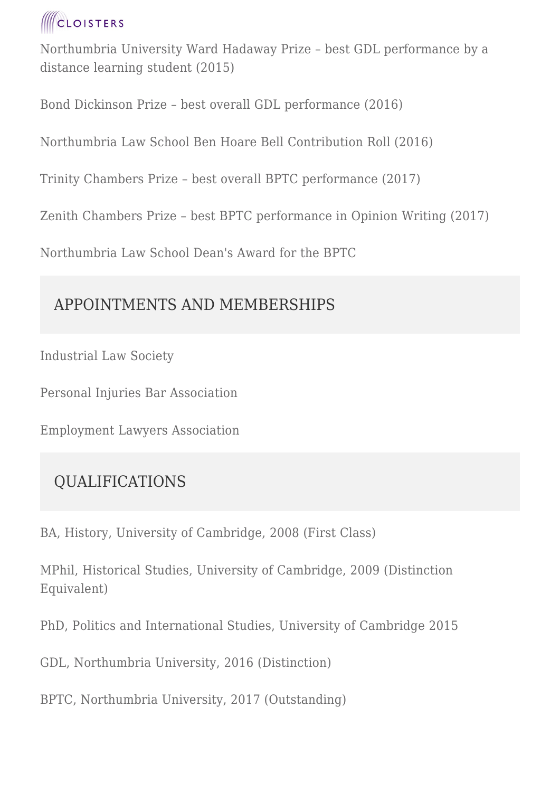# **CLOISTERS**

Northumbria University Ward Hadaway Prize – best GDL performance by a distance learning student (2015)

Bond Dickinson Prize – best overall GDL performance (2016)

Northumbria Law School Ben Hoare Bell Contribution Roll (2016)

Trinity Chambers Prize – best overall BPTC performance (2017)

Zenith Chambers Prize – best BPTC performance in Opinion Writing (2017)

Northumbria Law School Dean's Award for the BPTC

### APPOINTMENTS AND MEMBERSHIPS

Industrial Law Society

Personal Injuries Bar Association

Employment Lawyers Association

### QUALIFICATIONS

BA, History, University of Cambridge, 2008 (First Class)

MPhil, Historical Studies, University of Cambridge, 2009 (Distinction Equivalent)

PhD, Politics and International Studies, University of Cambridge 2015

GDL, Northumbria University, 2016 (Distinction)

BPTC, Northumbria University, 2017 (Outstanding)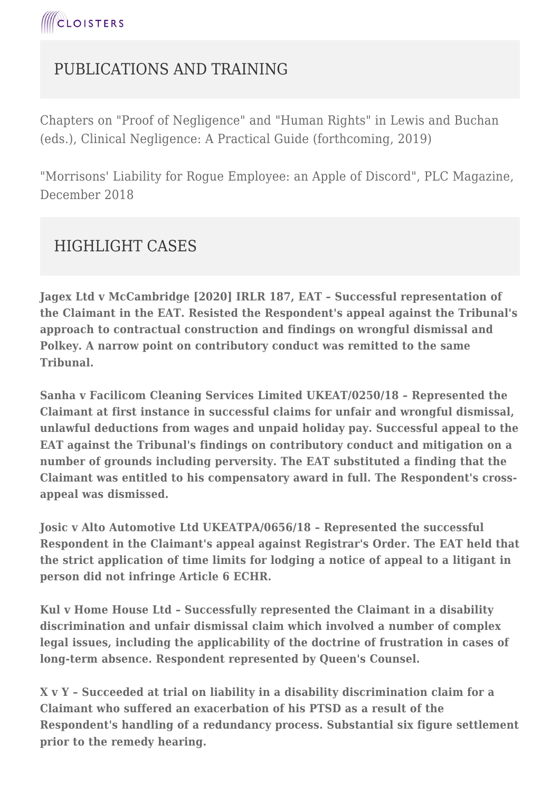### PUBLICATIONS AND TRAINING

Chapters on "Proof of Negligence" and "Human Rights" in Lewis and Buchan (eds.), Clinical Negligence: A Practical Guide (forthcoming, 2019)

"Morrisons' Liability for Rogue Employee: an Apple of Discord", PLC Magazine, December 2018

#### HIGHLIGHT CASES

**Jagex Ltd v McCambridge [2020] IRLR 187, EAT – Successful representation of the Claimant in the EAT. Resisted the Respondent's appeal against the Tribunal's approach to contractual construction and findings on wrongful dismissal and Polkey. A narrow point on contributory conduct was remitted to the same Tribunal.**

**Sanha v Facilicom Cleaning Services Limited UKEAT/0250/18 – Represented the Claimant at first instance in successful claims for unfair and wrongful dismissal, unlawful deductions from wages and unpaid holiday pay. Successful appeal to the EAT against the Tribunal's findings on contributory conduct and mitigation on a number of grounds including perversity. The EAT substituted a finding that the Claimant was entitled to his compensatory award in full. The Respondent's crossappeal was dismissed.**

**Josic v Alto Automotive Ltd UKEATPA/0656/18 – Represented the successful Respondent in the Claimant's appeal against Registrar's Order. The EAT held that the strict application of time limits for lodging a notice of appeal to a litigant in person did not infringe Article 6 ECHR.**

**Kul v Home House Ltd – Successfully represented the Claimant in a disability discrimination and unfair dismissal claim which involved a number of complex legal issues, including the applicability of the doctrine of frustration in cases of long-term absence. Respondent represented by Queen's Counsel.**

**X v Y – Succeeded at trial on liability in a disability discrimination claim for a Claimant who suffered an exacerbation of his PTSD as a result of the Respondent's handling of a redundancy process. Substantial six figure settlement prior to the remedy hearing.**